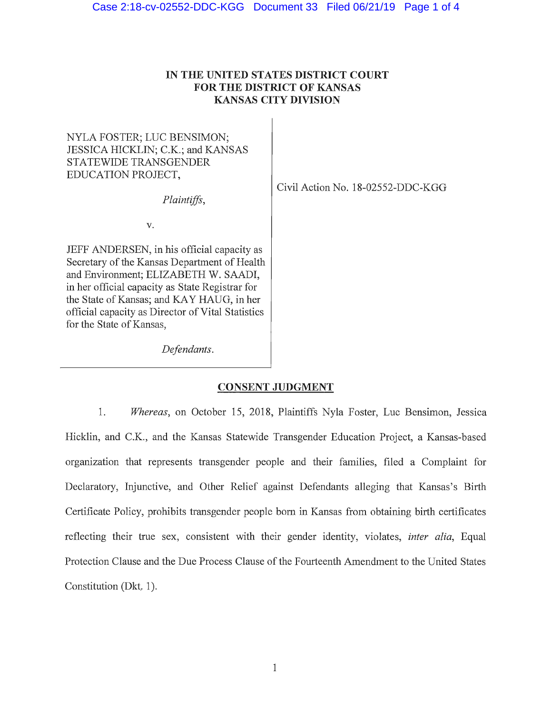## **IN THE UNITED STATES DISTRICT COURT FOR THE DISTRICT OF KANSAS KANSAS CITY DIVISION**

# NYLA FOSTER; LUC BENSIMON; JESSICA HICKLIN; C.K.; and KANSAS STATEWIDE TRANSGENDER EDUCATION PROJECT,

*Plaintiffs,* 

Civil Action No. 18-02552-DDC-KGG

v.

JEFF ANDERSEN, in his official capacity as Secretary of the Kansas Department of Health and Environment; ELIZABETH W. SAADI, in her official capacity as State Registrar for the State of Kansas; and KAY HAUG, in her official capacity as Director of Vital Statistics for the State of Kansas,

*Defendants.* 

## **CONSENT JUDGMENT**

1. *Whereas,* on October 15, 2018, Plaintiffs Nyla Foster, Luc Bensimon, Jessica Hicklin, and C.K., and the Kansas Statewide Transgender Education Project, a Kansas-based organization that represents transgender people and their families, filed a Complaint for Declaratory, Injunctive, and Other Relief against Defendants alleging that Kansas's Birth Certificate Policy, prohibits transgender people born in Kansas from obtaining birth certificates reflecting their true sex, consistent with their gender identity, violates, *inter alia,* Equal Protection Clause and the Due Process Clause of the Fourteenth Amendment to the United States Constitution (Dkt. 1).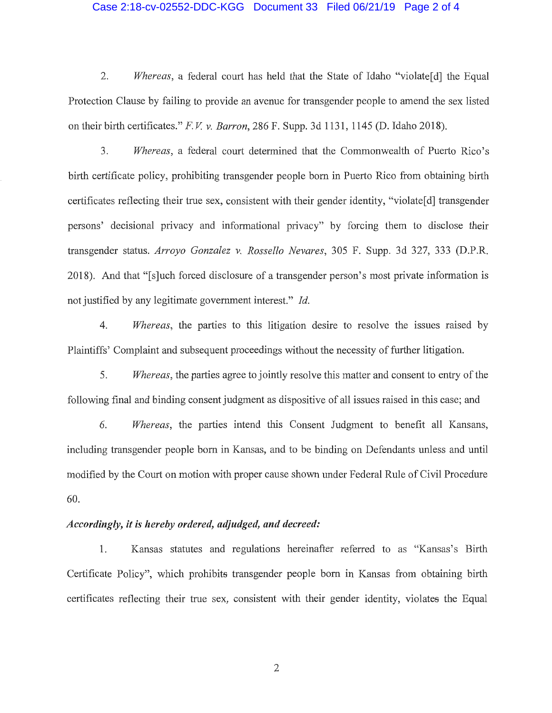#### Case 2:18-cv-02552-DDC-KGG Document 33 Filed 06/21/19 Page 2 of 4

2. *Whereas,* a federal court has held that the State of Idaho "violate[d] the Equal Protection Clause by failing to provide an avenue for transgender people to amend the sex listed on their birth certificates." *F. V. v. Barron*, 286 F. Supp. 3d 1131, 1145 (D. Idaho 2018).

3. *Whereas,* a federal court determined that the Commonwealth of Puerto Rico's birth certificate policy, prohibiting transgender people born in Puerto Rico from obtaining birth certificates reflecting their true sex, consistent with their gender identity, "violate<sup>[d]</sup> transgender persons' decisional privacy and informational privacy" by forcing them to disclose their transgender status. *Arroyo Gonzalez v. Rossello Nevares,* 305 F. Supp. 3d 327, 333 (D.P.R. 2018). And that "[s]uch forced disclosure of a transgender person's most private information is not justified by any legitimate government interest." *Id.* 

4. *Whereas*, the parties to this litigation desire to resolve the issues raised by Plaintiffs' Complaint and subsequent proceedings without the necessity of further litigation.

5. *Whereas,* the paities agree to jointly resolve this matter and consent to entry of the following final and binding consent judgment as dispositive of all issues raised in this case; and

6. *Whereas,* the parties intend this Consent Judgment to benefit all Kansans, including transgender people born in Kansas, and to be binding on Defendants unless and until modified by the Court on motion with proper cause shown under Federal Rule of Civil Procedure 60.

### *Accordingly, it is hereby ordered, adjudged, and decreed:*

1. Kansas statutes and regulations hereinafter referred to as "Kansas's Birth Certificate Policy", which prohibits transgender people born in Kansas from obtaining birth certificates reflecting their true sex, consistent with their gender identity, violates the Equal

2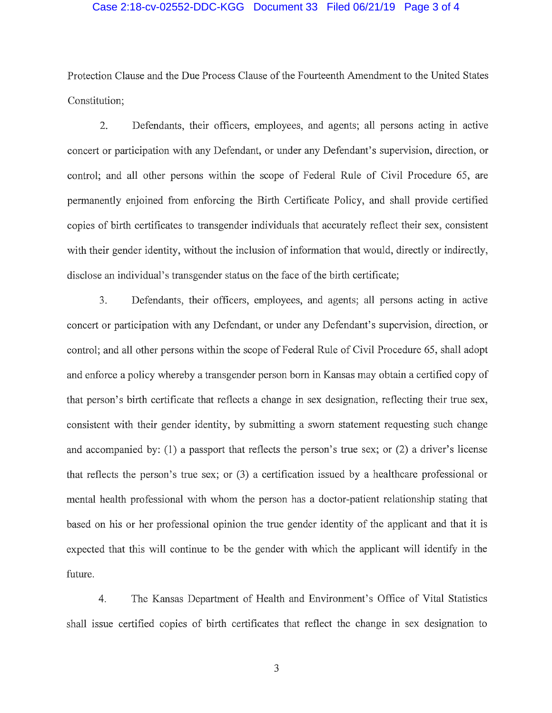#### Case 2:18-cv-02552-DDC-KGG Document 33 Filed 06/21/19 Page 3 of 4

Protection Clause and the Due Process Clause of the Fomieenth Amendment to the United States Constitution;

2. Defendants, their officers, employees, and agents; all persons acting in active concert or participation with any Defendant, or under any Defendant's supervision, direction, or control; and all other persons within the scope of Federal Rule of Civil Procedure 65, are permanently enjoined from enforcing the Birth Certificate Policy, and shall provide certified copies of birth certificates to transgender individuals that accurately reflect their sex, consistent with their gender identity, without the inclusion of information that would, directly or indirectly, disclose an individual's transgender status on the face of the birth certificate;

3. Defendants, their officers, employees, and agents; all persons acting in active concert or participation with any Defendant, or under any Defendant's supervision, direction, or control; and all other persons within the scope of Federal Rule of Civil Procedure 65, shall adopt and enforce a policy whereby a trans gender person born in Kansas may obtain a certified copy of that person's birth certificate that reflects a change in sex designation, reflecting their true sex, consistent with their gender identity, by submitting a sworn statement requesting such change and accompanied by: (1) a passport that reflects the person's true sex; or (2) a driver's license that reflects the person's true sex; or  $(3)$  a certification issued by a healthcare professional or mental health professional with whom the person has a doctor-patient relationship stating that based on his or her professional opinion the true gender identity of the applicant and that it is expected that this will continue to be the gender with which the applicant will identify in the future.

4. The Kansas Department of Health and Environment's Office of Vital Statistics shall issue certified copies of birth certificates that reflect the change in sex designation to

3